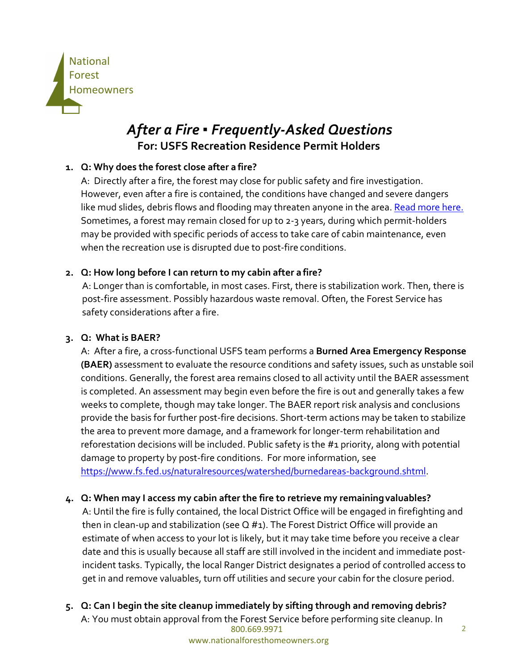

# *After a Fire* **▪** *Frequently-Asked Questions* **For: USFS Recreation Residence Permit Holders**

## **1. Q: Why does the forest close after a fire?**

A: Directly after a fire, the forest may close for public safety and fire investigation. However, even after a fire is contained, the conditions have changed and severe dangers like mud slides, debris flows and flooding may threaten anyone in the area. [Read more here.](https://www.fs.fed.us/science-technology/fire/after-fire) Sometimes, a forest may remain closed for up to 2-3 years, during which permit-holders may be provided with specific periods of access to take care of cabin maintenance, even when the recreation use is disrupted due to post-fire conditions.

# **2. Q: How long before I can return to my cabin after a fire?**

A: Longer than is comfortable, in most cases. First, there is stabilization work. Then, there is post-fire assessment. Possibly hazardous waste removal. Often, the Forest Service has safety considerations after a fire.

## **3. Q: What is BAER?**

A: After a fire, a cross-functional USFS team performs a **Burned Area Emergency Response (BAER)** assessment to evaluate the resource conditions and safety issues, such as unstable soil conditions. Generally, the forest area remains closed to all activity until the BAER assessment is completed. An assessment may begin even before the fire is out and generally takes a few weeks to complete, though may take longer. The BAER report risk analysis and conclusions provide the basis for further post-fire decisions. Short-term actions may be taken to stabilize the area to prevent more damage, and a framework for longer-term rehabilitation and reforestation decisions will be included. Public safety is the #1 priority, along with potential damage to property by post-fire conditions. For more information, see [https://www.fs.fed.us/naturalresources/watershed/burnedareas-background.shtml.](https://www.fs.fed.us/naturalresources/watershed/burnedareas-background.shtml)

# **4. Q: When may I access my cabin after the fire to retrieve my remainingvaluables?**

A: Until the fire is fully contained, the local District Office will be engaged in firefighting and then in clean-up and stabilization (see Q #1). The Forest District Office will provide an estimate of when access to your lot is likely, but it may take time before you receive a clear date and this is usually because all staff are still involved in the incident and immediate postincident tasks. Typically, the local Ranger District designates a period of controlled access to get in and remove valuables, turn off utilities and secure your cabin for the closure period.

800.669.9971 2 **5. Q: Can I begin the site cleanup immediately by sifting through and removing debris?**  A: You must obtain approval from the Forest Service before performing site cleanup. In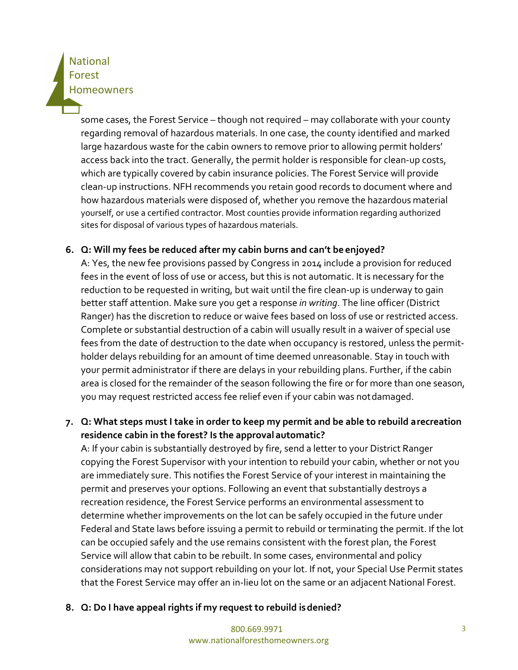# **National** Forest **Homeowners**

some cases, the Forest Service – though not required – may collaborate with your county regarding removal of hazardous materials. In one case, the county identified and marked large hazardous waste for the cabin owners to remove prior to allowing permit holders' access back into the tract. Generally, the permit holder is responsible for clean-up costs, which are typically covered by cabin insurance policies. The Forest Service will provide clean-up instructions. NFH recommends you retain good records to document where and how hazardous materials were disposed of, whether you remove the hazardous material yourself, or use a certified contractor. Most counties provide information regarding authorized sites for disposal of various types of hazardous materials.

### **6. Q: Will my fees be reduced after my cabin burns and can't be enjoyed?**

A: Yes, the new fee provisions passed by Congress in 2014 include a provision for reduced fees in the event of loss of use or access, but this is not automatic. It is necessary for the reduction to be requested in writing, but wait until the fire clean-up is underway to gain better staff attention. Make sure you get a response *in writing*. The line officer (District Ranger) has the discretion to reduce or waive fees based on loss of use or restricted access. Complete or substantial destruction of a cabin will usually result in a waiver of special use fees from the date of destruction to the date when occupancy is restored, unless the permitholder delays rebuilding for an amount of time deemed unreasonable. Stay in touch with your permit administrator if there are delays in your rebuilding plans. Further, if the cabin area is closed for the remainder of the season following the fire or for more than one season, you may request restricted access fee relief even if your cabin was notdamaged.

# **7. Q: What steps must I take in order to keep my permit and be able to rebuild arecreation residence cabin in the forest? Is the approval automatic?**

A: If your cabin is substantially destroyed by fire, send a letter to your District Ranger copying the Forest Supervisor with your intention to rebuild your cabin, whether or not you are immediately sure. This notifies the Forest Service of your interest in maintaining the permit and preserves your options. Following an event that substantially destroys a recreation residence, the Forest Service performs an environmental assessment to determine whether improvements on the lot can be safely occupied in the future under Federal and State laws before issuing a permit to rebuild or terminating the permit. If the lot can be occupied safely and the use remains consistent with the forest plan, the Forest Service will allow that cabin to be rebuilt. In some cases, environmental and policy considerations may not support rebuilding on your lot. If not, your Special Use Permit states that the Forest Service may offer an in-lieu lot on the same or an adjacent National Forest.

**8. Q: Do I have appeal rights if my request to rebuild isdenied?**